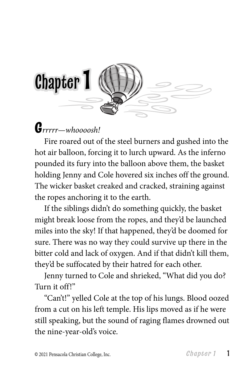

## **G***rrrrr—whoooosh!*

Fire roared out of the steel burners and gushed into the hot air balloon, forcing it to lurch upward. As the inferno pounded its fury into the balloon above them, the basket holding Jenny and Cole hovered six inches off the ground. The wicker basket creaked and cracked, straining against the ropes anchoring it to the earth.

If the siblings didn't do something quickly, the basket might break loose from the ropes, and they'd be launched miles into the sky! If that happened, they'd be doomed for sure. There was no way they could survive up there in the bitter cold and lack of oxygen. And if that didn't kill them, they'd be suffocated by their hatred for each other.

Jenny turned to Cole and shrieked, "What did you do? Turn it off!"

"Can't!" yelled Cole at the top of his lungs. Blood oozed from a cut on his left temple. His lips moved as if he were still speaking, but the sound of raging flames drowned out the nine-year-old's voice.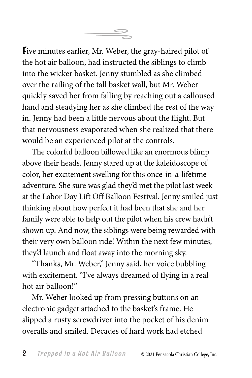**F**ive minutes earlier, Mr. Weber, the gray-haired pilot of the hot air balloon, had instructed the siblings to climb into the wicker basket. Jenny stumbled as she climbed over the railing of the tall basket wall, but Mr. Weber quickly saved her from falling by reaching out a calloused hand and steadying her as she climbed the rest of the way in. Jenny had been a little nervous about the flight. But that nervousness evaporated when she realized that there would be an experienced pilot at the controls.

The colorful balloon billowed like an enormous blimp above their heads. Jenny stared up at the kaleidoscope of color, her excitement swelling for this once-in-a-lifetime adventure. She sure was glad they'd met the pilot last week at the Labor Day Lift Off Balloon Festival. Jenny smiled just thinking about how perfect it had been that she and her family were able to help out the pilot when his crew hadn't shown up. And now, the siblings were being rewarded with their very own balloon ride! Within the next few minutes, they'd launch and float away into the morning sky.

"Thanks, Mr. Weber," Jenny said, her voice bubbling with excitement. "I've always dreamed of flying in a real hot air balloon!"

Mr. Weber looked up from pressing buttons on an electronic gadget attached to the basket's frame. He slipped a rusty screwdriver into the pocket of his denim overalls and smiled. Decades of hard work had etched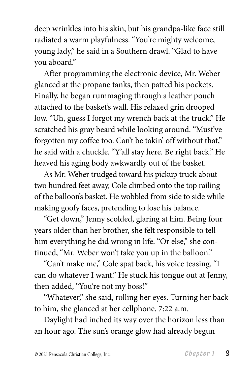deep wrinkles into his skin, but his grandpa-like face still radiated a warm playfulness. "You're mighty welcome, young lady," he said in a Southern drawl. "Glad to have you aboard."

After programming the electronic device, Mr. Weber glanced at the propane tanks, then patted his pockets. Finally, he began rummaging through a leather pouch attached to the basket's wall. His relaxed grin drooped low. "Uh, guess I forgot my wrench back at the truck." He scratched his gray beard while looking around. "Must've forgotten my coffee too. Can't be takin' off without that," he said with a chuckle. "Y'all stay here. Be right back." He heaved his aging body awkwardly out of the basket.

As Mr. Weber trudged toward his pickup truck about two hundred feet away, Cole climbed onto the top railing of the balloon's basket. He wobbled from side to side while making goofy faces, pretending to lose his balance.

"Get down," Jenny scolded, glaring at him. Being four years older than her brother, she felt responsible to tell him everything he did wrong in life. "Or else," she continued, "Mr. Weber won't take you up in the balloon."

"Can't make me," Cole spat back, his voice teasing. "I can do whatever I want." He stuck his tongue out at Jenny, then added, "You're not my boss!"

"Whatever," she said, rolling her eyes. Turning her back to him, she glanced at her cellphone. 7:22 a.m.

Daylight had inched its way over the horizon less than an hour ago. The sun's orange glow had already begun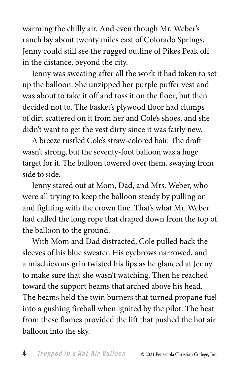warming the chilly air. And even though Mr. Weber's ranch lay about twenty miles east of Colorado Springs, Jenny could still see the rugged outline of Pikes Peak off in the distance, beyond the city.

Jenny was sweating after all the work it had taken to set up the balloon. She unzipped her purple puffer vest and was about to take it off and toss it on the floor, but then decided not to. The basket's plywood floor had clumps of dirt scattered on it from her and Cole's shoes, and she didn't want to get the vest dirty since it was fairly new.

A breeze rustled Cole's straw-colored hair. The draft wasn't strong, but the seventy-foot balloon was a huge target for it. The balloon towered over them, swaying from side to side.

Jenny stared out at Mom, Dad, and Mrs. Weber, who were all trying to keep the balloon steady by pulling on and fighting with the crown line. That's what Mr. Weber had called the long rope that draped down from the top of the balloon to the ground.

With Mom and Dad distracted, Cole pulled back the sleeves of his blue sweater. His eyebrows narrowed, and a mischievous grin twisted his lips as he glanced at Jenny to make sure that she wasn't watching. Then he reached toward the support beams that arched above his head. The beams held the twin burners that turned propane fuel into a gushing fireball when ignited by the pilot. The heat from these flames provided the lift that pushed the hot air balloon into the sky.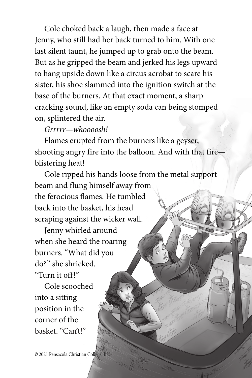Cole choked back a laugh, then made a face at Jenny, who still had her back turned to him. With one last silent taunt, he jumped up to grab onto the beam. But as he gripped the beam and jerked his legs upward to hang upside down like a circus acrobat to scare his sister, his shoe slammed into the ignition switch at the base of the burners. At that exact moment, a sharp cracking sound, like an empty soda can being stomped on, splintered the air.

## *Grrrrr—whoooosh!*

Flames erupted from the burners like a geyser, shooting angry fire into the balloon. And with that fire blistering heat!

Cole ripped his hands loose from the metal support beam and flung himself away from the ferocious flames. He tumbled back into the basket, his head scraping against the wicker wall.

Jenny whirled around when she heard the roaring burners. "What did you do?" she shrieked. "Turn it off!"

Cole scooched into a sitting position in the corner of the basket. "Can't!"

**©** 2021 Pensacola Christian College, Inc.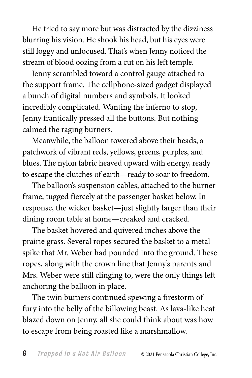He tried to say more but was distracted by the dizziness blurring his vision. He shook his head, but his eyes were still foggy and unfocused. That's when Jenny noticed the stream of blood oozing from a cut on his left temple.

Jenny scrambled toward a control gauge attached to the support frame. The cellphone-sized gadget displayed a bunch of digital numbers and symbols. It looked incredibly complicated. Wanting the inferno to stop, Jenny frantically pressed all the buttons. But nothing calmed the raging burners.

Meanwhile, the balloon towered above their heads, a patchwork of vibrant reds, yellows, greens, purples, and blues. The nylon fabric heaved upward with energy, ready to escape the clutches of earth—ready to soar to freedom.

The balloon's suspension cables, attached to the burner frame, tugged fiercely at the passenger basket below. In response, the wicker basket—just slightly larger than their dining room table at home—creaked and cracked.

The basket hovered and quivered inches above the prairie grass. Several ropes secured the basket to a metal spike that Mr. Weber had pounded into the ground. These ropes, along with the crown line that Jenny's parents and Mrs. Weber were still clinging to, were the only things left anchoring the balloon in place.

The twin burners continued spewing a firestorm of fury into the belly of the billowing beast. As lava-like heat blazed down on Jenny, all she could think about was how to escape from being roasted like a marshmallow.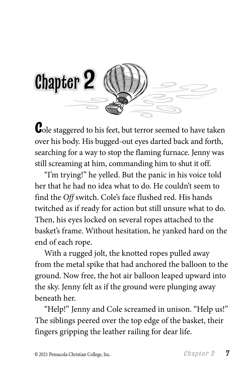

**C**ole staggered to his feet, but terror seemed to have taken over his body. His bugged-out eyes darted back and forth, searching for a way to stop the flaming furnace. Jenny was still screaming at him, commanding him to shut it off.

"I'm trying!" he yelled. But the panic in his voice told her that he had no idea what to do. He couldn't seem to find the *Off* switch. Cole's face flushed red. His hands twitched as if ready for action but still unsure what to do. Then, his eyes locked on several ropes attached to the basket's frame. Without hesitation, he yanked hard on the end of each rope.

With a rugged jolt, the knotted ropes pulled away from the metal spike that had anchored the balloon to the ground. Now free, the hot air balloon leaped upward into the sky. Jenny felt as if the ground were plunging away beneath her.

"Help!" Jenny and Cole screamed in unison. "Help us!" The siblings peered over the top edge of the basket, their fingers gripping the leather railing for dear life.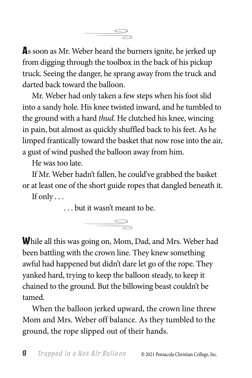

**A**s soon as Mr. Weber heard the burners ignite, he jerked up from digging through the toolbox in the back of his pickup truck. Seeing the danger, he sprang away from the truck and darted back toward the balloon.

Mr. Weber had only taken a few steps when his foot slid into a sandy hole. His knee twisted inward, and he tumbled to the ground with a hard *thud*. He clutched his knee, wincing in pain, but almost as quickly shuffled back to his feet. As he limped frantically toward the basket that now rose into the air, a gust of wind pushed the balloon away from him.

He was too late.

If Mr. Weber hadn't fallen, he could've grabbed the basket or at least one of the short guide ropes that dangled beneath it. If only  $\dots$ 

. . . but it wasn't meant to be.



**W**hile all this was going on, Mom, Dad, and Mrs. Weber had been battling with the crown line. They knew something awful had happened but didn't dare let go of the rope. They yanked hard, trying to keep the balloon steady, to keep it chained to the ground. But the billowing beast couldn't be tamed.

When the balloon jerked upward, the crown line threw Mom and Mrs. Weber off balance. As they tumbled to the ground, the rope slipped out of their hands.